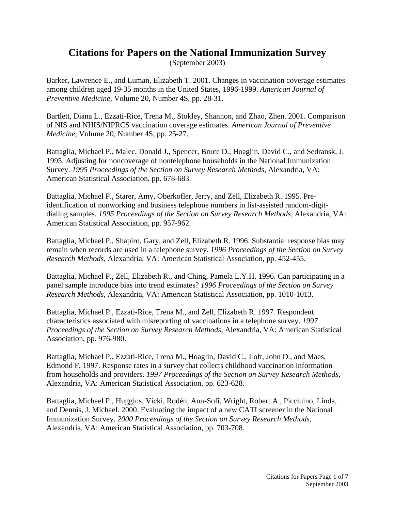## **Citations for Papers on the National Immunization Survey**

(September 2003)

Barker, Lawrence E., and Luman, Elizabeth T. 2001. Changes in vaccination coverage estimates among children aged 19-35 months in the United States, 1996-1999. *American Journal of Preventive Medicine*, Volume 20, Number 4S, pp. 28-31.

Bartlett, Diana L., Ezzati-Rice, Trena M., Stokley, Shannon, and Zhao, Zhen. 2001. Comparison of NIS and NHIS/NIPRCS vaccination coverage estimates. *American Journal of Preventive Medicine*, Volume 20, Number 4S, pp. 25-27.

Battaglia, Michael P., Malec, Donald J., Spencer, Bruce D., Hoaglin, David C., and Sedransk, J. 1995. Adjusting for noncoverage of nontelephone households in the National Immunization Survey. *1995 Proceedings of the Section on Survey Research Methods*, Alexandria, VA: American Statistical Association, pp. 678-683.

Battaglia, Michael P., Starer, Amy, Oberkofler, Jerry, and Zell, Elizabeth R. 1995. Preidentification of nonworking and business telephone numbers in list-assisted random-digitdialing samples. *1995 Proceedings of the Section on Survey Research Methods*, Alexandria, VA: American Statistical Association, pp. 957-962.

Battaglia, Michael P., Shapiro, Gary, and Zell, Elizabeth R. 1996. Substantial response bias may remain when records are used in a telephone survey. *1996 Proceedings of the Section on Survey Research Methods*, Alexandria, VA: American Statistical Association, pp. 452-455.

Battaglia, Michael P., Zell, Elizabeth R., and Ching, Pamela L.Y.H. 1996. Can participating in a panel sample introduce bias into trend estimates? *1996 Proceedings of the Section on Survey Research Methods*, Alexandria, VA: American Statistical Association, pp. 1010-1013.

Battaglia, Michael P., Ezzati-Rice, Trena M., and Zell, Elizabeth R. 1997. Respondent characteristics associated with misreporting of vaccinations in a telephone survey. *1997 Proceedings of the Section on Survey Research Methods*, Alexandria, VA: American Statistical Association, pp. 976-980.

Battaglia, Michael P., Ezzati-Rice, Trena M., Hoaglin, David C., Loft, John D., and Maes, Edmond F. 1997. Response rates in a survey that collects childhood vaccination information from households and providers. *1997 Proceedings of the Section on Survey Research Methods*, Alexandria, VA: American Statistical Association, pp. 623-628.

Battaglia, Michael P., Huggins, Vicki, Rodén, Ann-Sofi, Wright, Robert A., Piccinino, Linda, and Dennis, J. Michael. 2000. Evaluating the impact of a new CATI screener in the National Immunization Survey. *2000 Proceedings of the Section on Survey Research Methods,*  Alexandria, VA: American Statistical Association, pp. 703-708.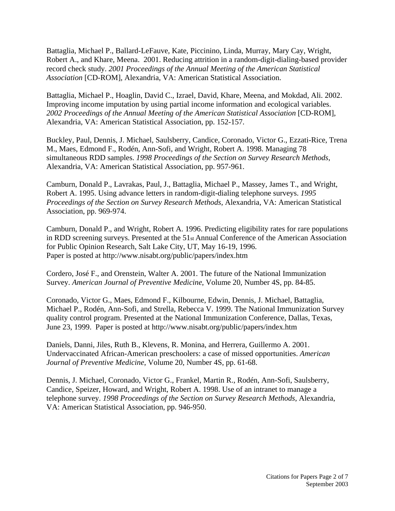Battaglia, Michael P., Ballard-LeFauve, Kate, Piccinino, Linda, Murray, Mary Cay, Wright, Robert A., and Khare, Meena. 2001. Reducing attrition in a random-digit-dialing-based provider record check study. *2001 Proceedings of the Annual Meeting of the American Statistical Association* [CD-ROM], Alexandria, VA: American Statistical Association.

Battaglia, Michael P., Hoaglin, David C., Izrael, David, Khare, Meena, and Mokdad, Ali. 2002. Improving income imputation by using partial income information and ecological variables. *2002 Proceedings of the Annual Meeting of the American Statistical Association* [CD-ROM], Alexandria, VA: American Statistical Association, pp. 152-157.

Buckley, Paul, Dennis, J. Michael, Saulsberry, Candice, Coronado, Victor G., Ezzati-Rice, Trena M., Maes, Edmond F., Rodén, Ann-Sofi, and Wright, Robert A. 1998. Managing 78 simultaneous RDD samples. *1998 Proceedings of the Section on Survey Research Methods*, Alexandria, VA: American Statistical Association, pp. 957-961.

Camburn, Donald P., Lavrakas, Paul, J., Battaglia, Michael P., Massey, James T., and Wright, Robert A. 1995. Using advance letters in random-digit-dialing telephone surveys. *1995 Proceedings of the Section on Survey Research Methods*, Alexandria, VA: American Statistical Association, pp. 969-974.

Camburn, Donald P., and Wright, Robert A. 1996. Predicting eligibility rates for rare populations in RDD screening surveys. Presented at the 51st Annual Conference of the American Association for Public Opinion Research, Salt Lake City, UT, May 16-19, 1996. Paper is posted at http://www.nisabt.org/public/papers/index.htm

Cordero, José F., and Orenstein, Walter A. 2001. The future of the National Immunization Survey. *American Journal of Preventive Medicine*, Volume 20, Number 4S, pp. 84-85.

Coronado, Victor G., Maes, Edmond F., Kilbourne, Edwin, Dennis, J. Michael, Battaglia, Michael P., Rodén, Ann-Sofi, and Strella, Rebecca V. 1999. The National Immunization Survey quality control program. Presented at the National Immunization Conference, Dallas, Texas, June 23, 1999. Paper is posted at http://www.nisabt.org/public/papers/index.htm

Daniels, Danni, Jiles, Ruth B., Klevens, R. Monina, and Herrera, Guillermo A. 2001. Undervaccinated African-American preschoolers: a case of missed opportunities. *American Journal of Preventive Medicine*, Volume 20, Number 4S, pp. 61-68.

Dennis, J. Michael, Coronado, Victor G., Frankel, Martin R., Rodén, Ann-Sofi, Saulsberry, Candice, Speizer, Howard, and Wright, Robert A. 1998. Use of an intranet to manage a telephone survey. *1998 Proceedings of the Section on Survey Research Methods*, Alexandria, VA: American Statistical Association, pp. 946-950.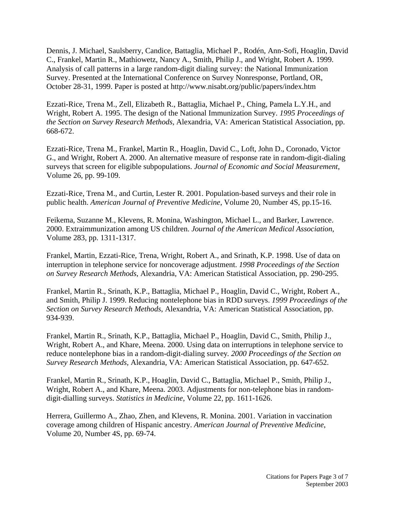Dennis, J. Michael, Saulsberry, Candice, Battaglia, Michael P., Rodén, Ann-Sofi, Hoaglin, David C., Frankel, Martin R., Mathiowetz, Nancy A., Smith, Philip J., and Wright, Robert A. 1999. Analysis of call patterns in a large random-digit dialing survey: the National Immunization Survey. Presented at the International Conference on Survey Nonresponse, Portland, OR, October 28-31, 1999. Paper is posted at http://www.nisabt.org/public/papers/index.htm

Ezzati-Rice, Trena M., Zell, Elizabeth R., Battaglia, Michael P., Ching, Pamela L.Y.H., and Wright, Robert A. 1995. The design of the National Immunization Survey. *1995 Proceedings of the Section on Survey Research Methods*, Alexandria, VA: American Statistical Association, pp. 668-672.

Ezzati-Rice, Trena M., Frankel, Martin R., Hoaglin, David C., Loft, John D., Coronado, Victor G., and Wright, Robert A. 2000. An alternative measure of response rate in random-digit-dialing surveys that screen for eligible subpopulations. *Journal of Economic and Social Measurement*, Volume 26, pp. 99-109.

Ezzati-Rice, Trena M., and Curtin, Lester R. 2001. Population-based surveys and their role in public health. *American Journal of Preventive Medicine*, Volume 20, Number 4S, pp.15-16.

Feikema, Suzanne M., Klevens, R. Monina, Washington, Michael L., and Barker, Lawrence. 2000. Extraimmunization among US children. *Journal of the American Medical Association*, Volume 283, pp. 1311-1317.

Frankel, Martin, Ezzati-Rice, Trena, Wright, Robert A., and Srinath, K.P. 1998. Use of data on interruption in telephone service for noncoverage adjustment. *1998 Proceedings of the Section on Survey Research Methods*, Alexandria, VA: American Statistical Association, pp. 290-295.

Frankel, Martin R., Srinath, K.P., Battaglia, Michael P., Hoaglin, David C., Wright, Robert A., and Smith, Philip J. 1999. Reducing nontelephone bias in RDD surveys. *1999 Proceedings of the Section on Survey Research Methods*, Alexandria, VA: American Statistical Association, pp. 934-939.

Frankel, Martin R., Srinath, K.P., Battaglia, Michael P., Hoaglin, David C., Smith, Philip J., Wright, Robert A., and Khare, Meena. 2000. Using data on interruptions in telephone service to reduce nontelephone bias in a random-digit-dialing survey*. 2000 Proceedings of the Section on Survey Research Methods,* Alexandria, VA: American Statistical Association, pp. 647-652.

Frankel, Martin R., Srinath, K.P., Hoaglin, David C., Battaglia, Michael P., Smith, Philip J., Wright, Robert A., and Khare, Meena. 2003. Adjustments for non-telephone bias in randomdigit-dialling surveys. *Statistics in Medicine*, Volume 22, pp. 1611-1626.

Herrera, Guillermo A., Zhao, Zhen, and Klevens, R. Monina. 2001. Variation in vaccination coverage among children of Hispanic ancestry. *American Journal of Preventive Medicine*, Volume 20, Number 4S, pp. 69-74.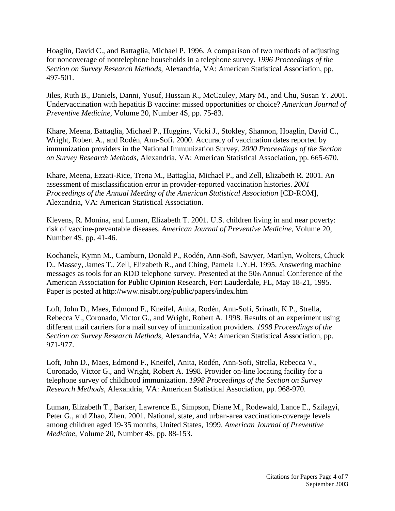Hoaglin, David C., and Battaglia, Michael P. 1996. A comparison of two methods of adjusting for noncoverage of nontelephone households in a telephone survey. *1996 Proceedings of the Section on Survey Research Methods*, Alexandria, VA: American Statistical Association, pp. 497-501.

Jiles, Ruth B., Daniels, Danni, Yusuf, Hussain R., McCauley, Mary M., and Chu, Susan Y. 2001. Undervaccination with hepatitis B vaccine: missed opportunities or choice? *American Journal of Preventive Medicine*, Volume 20, Number 4S, pp. 75-83.

Khare, Meena, Battaglia, Michael P., Huggins, Vicki J., Stokley, Shannon, Hoaglin, David C., Wright, Robert A., and Rodén, Ann-Sofi. 2000. Accuracy of vaccination dates reported by immunization providers in the National Immunization Survey. *2000 Proceedings of the Section on Survey Research Methods,* Alexandria, VA: American Statistical Association, pp. 665-670.

Khare, Meena, Ezzati-Rice, Trena M., Battaglia, Michael P., and Zell, Elizabeth R. 2001. An assessment of misclassification error in provider-reported vaccination histories. *2001 Proceedings of the Annual Meeting of the American Statistical Association* [CD-ROM], Alexandria, VA: American Statistical Association.

Klevens, R. Monina, and Luman, Elizabeth T. 2001. U.S. children living in and near poverty: risk of vaccine-preventable diseases. *American Journal of Preventive Medicine*, Volume 20, Number 4S, pp. 41-46.

Kochanek, Kymn M., Camburn, Donald P., Rodén, Ann-Sofi, Sawyer, Marilyn, Wolters, Chuck D., Massey, James T., Zell, Elizabeth R., and Ching, Pamela L.Y.H. 1995. Answering machine messages as tools for an RDD telephone survey. Presented at the 50th Annual Conference of the American Association for Public Opinion Research, Fort Lauderdale, FL, May 18-21, 1995. Paper is posted at http://www.nisabt.org/public/papers/index.htm

Loft, John D., Maes, Edmond F., Kneifel, Anita, Rodén, Ann-Sofi, Srinath, K.P., Strella, Rebecca V., Coronado, Victor G., and Wright, Robert A. 1998. Results of an experiment using different mail carriers for a mail survey of immunization providers. *1998 Proceedings of the Section on Survey Research Methods*, Alexandria, VA: American Statistical Association, pp. 971-977.

Loft, John D., Maes, Edmond F., Kneifel, Anita, Rodén, Ann-Sofi, Strella, Rebecca V., Coronado, Victor G., and Wright, Robert A. 1998. Provider on-line locating facility for a telephone survey of childhood immunization. *1998 Proceedings of the Section on Survey Research Methods*, Alexandria, VA: American Statistical Association, pp. 968-970.

Luman, Elizabeth T., Barker, Lawrence E., Simpson, Diane M., Rodewald, Lance E., Szilagyi, Peter G., and Zhao, Zhen. 2001. National, state, and urban-area vaccination-coverage levels among children aged 19-35 months, United States, 1999. *American Journal of Preventive Medicine*, Volume 20, Number 4S, pp. 88-153.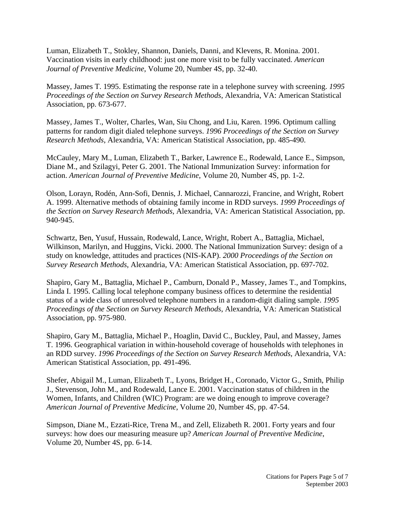Luman, Elizabeth T., Stokley, Shannon, Daniels, Danni, and Klevens, R. Monina. 2001. Vaccination visits in early childhood: just one more visit to be fully vaccinated. *American Journal of Preventive Medicine*, Volume 20, Number 4S, pp. 32-40.

Massey, James T. 1995. Estimating the response rate in a telephone survey with screening. *1995 Proceedings of the Section on Survey Research Methods*, Alexandria, VA: American Statistical Association, pp. 673-677.

Massey, James T., Wolter, Charles, Wan, Siu Chong, and Liu, Karen. 1996. Optimum calling patterns for random digit dialed telephone surveys. *1996 Proceedings of the Section on Survey Research Methods*, Alexandria, VA: American Statistical Association, pp. 485-490.

McCauley, Mary M., Luman, Elizabeth T., Barker, Lawrence E., Rodewald, Lance E., Simpson, Diane M., and Szilagyi, Peter G. 2001. The National Immunization Survey: information for action. *American Journal of Preventive Medicine*, Volume 20, Number 4S, pp. 1-2.

Olson, Lorayn, Rodén, Ann-Sofi, Dennis, J. Michael, Cannarozzi, Francine, and Wright, Robert A. 1999. Alternative methods of obtaining family income in RDD surveys. *1999 Proceedings of the Section on Survey Research Methods*, Alexandria, VA: American Statistical Association, pp. 940-945.

Schwartz, Ben, Yusuf, Hussain, Rodewald, Lance, Wright, Robert A., Battaglia, Michael, Wilkinson, Marilyn, and Huggins, Vicki. 2000. The National Immunization Survey: design of a study on knowledge, attitudes and practices (NIS-KAP). *2000 Proceedings of the Section on Survey Research Methods*, Alexandria, VA: American Statistical Association, pp. 697-702.

Shapiro, Gary M., Battaglia, Michael P., Camburn, Donald P., Massey, James T., and Tompkins, Linda I. 1995. Calling local telephone company business offices to determine the residential status of a wide class of unresolved telephone numbers in a random-digit dialing sample. *1995 Proceedings of the Section on Survey Research Methods*, Alexandria, VA: American Statistical Association, pp. 975-980.

Shapiro, Gary M., Battaglia, Michael P., Hoaglin, David C., Buckley, Paul, and Massey, James T. 1996. Geographical variation in within-household coverage of households with telephones in an RDD survey. *1996 Proceedings of the Section on Survey Research Methods*, Alexandria, VA: American Statistical Association, pp. 491-496.

Shefer, Abigail M., Luman, Elizabeth T., Lyons, Bridget H., Coronado, Victor G., Smith, Philip J., Stevenson, John M., and Rodewald, Lance E. 2001. Vaccination status of children in the Women, Infants, and Children (WIC) Program: are we doing enough to improve coverage? *American Journal of Preventive Medicine*, Volume 20, Number 4S, pp. 47-54.

Simpson, Diane M., Ezzati-Rice, Trena M., and Zell, Elizabeth R. 2001. Forty years and four surveys: how does our measuring measure up? *American Journal of Preventive Medicine*, Volume 20, Number 4S, pp. 6-14.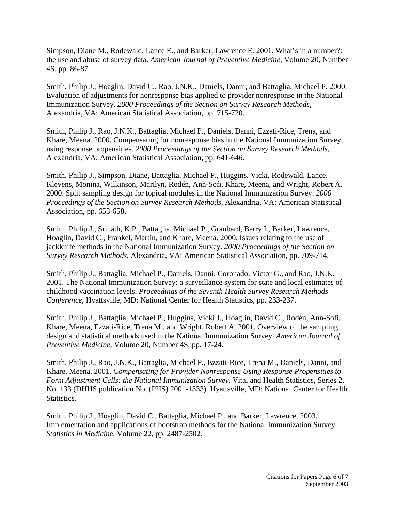Simpson, Diane M., Rodewald, Lance E., and Barker, Lawrence E. 2001. What's in a number?: the use and abuse of survey data. *American Journal of Preventive Medicine*, Volume 20, Number 4S, pp. 86-87.

Smith, Philip J., Hoaglin, David C., Rao, J.N.K., Daniels, Danni, and Battaglia, Michael P. 2000. Evaluation of adjustments for nonresponse bias applied to provider nonresponse in the National Immunization Survey. *2000 Proceedings of the Section on Survey Research Methods,*  Alexandria, VA: American Statistical Association, pp. 715-720.

Smith, Philip J., Rao, J.N.K., Battaglia, Michael P., Daniels, Danni, Ezzati-Rice, Trena, and Khare, Meena. 2000. Compensating for nonresponse bias in the National Immunization Survey using response propensities. *2000 Proceedings of the Section on Survey Research Methods,*  Alexandria, VA: American Statistical Association, pp. 641-646.

Smith, Philip J., Simpson, Diane, Battaglia, Michael P., Huggins, Vicki, Rodewald, Lance, Klevens, Monina, Wilkinson, Marilyn, Rodén, Ann-Sofi, Khare, Meena, and Wright, Robert A. 2000. Split sampling design for topical modules in the National Immunization Survey. *2000 Proceedings of the Section on Survey Research Methods,* Alexandria, VA: American Statistical Association, pp. 653-658.

Smith, Philip J., Srinath, K.P., Battaglia, Michael P., Graubard, Barry I., Barker, Lawrence, Hoaglin, David C., Frankel, Martin, and Khare, Meena. 2000. Issues relating to the use of jackknife methods in the National Immunization Survey. *2000 Proceedings of the Section on Survey Research Methods*, Alexandria, VA: American Statistical Association, pp. 709-714.

Smith, Philip J., Battaglia, Michael P., Daniels, Danni, Coronado, Victor G., and Rao, J.N.K. 2001. The National Immunization Survey: a surveillance system for state and local estimates of childhood vaccination levels. *Proceedings of the Seventh Health Survey Research Methods Conference*, Hyattsville, MD: National Center for Health Statistics, pp. 233-237.

Smith, Philip J., Battaglia, Michael P., Huggins, Vicki J., Hoaglin, David C., Rodén, Ann-Sofi, Khare, Meena, Ezzati-Rice, Trena M., and Wright, Robert A. 2001. Overview of the sampling design and statistical methods used in the National Immunization Survey. *American Journal of Preventive Medicine*, Volume 20, Number 4S, pp. 17-24.

Smith, Philip J., Rao, J.N.K., Battaglia, Michael P., Ezzati-Rice, Trena M., Daniels, Danni, and Khare, Meena. 2001. *Compensating for Provider Nonresponse Using Response Propensities to Form Adjustment Cells: the National Immunization Survey*. Vital and Health Statistics, Series 2, No. 133 (DHHS publication No. (PHS) 2001-1333). Hyattsville, MD: National Center for Health Statistics.

Smith, Philip J., Hoaglin, David C., Battaglia, Michael P., and Barker, Lawrence. 2003. Implementation and applications of bootstrap methods for the National Immunization Survey. *Statistics in Medicine*, Volume 22, pp. 2487-2502.